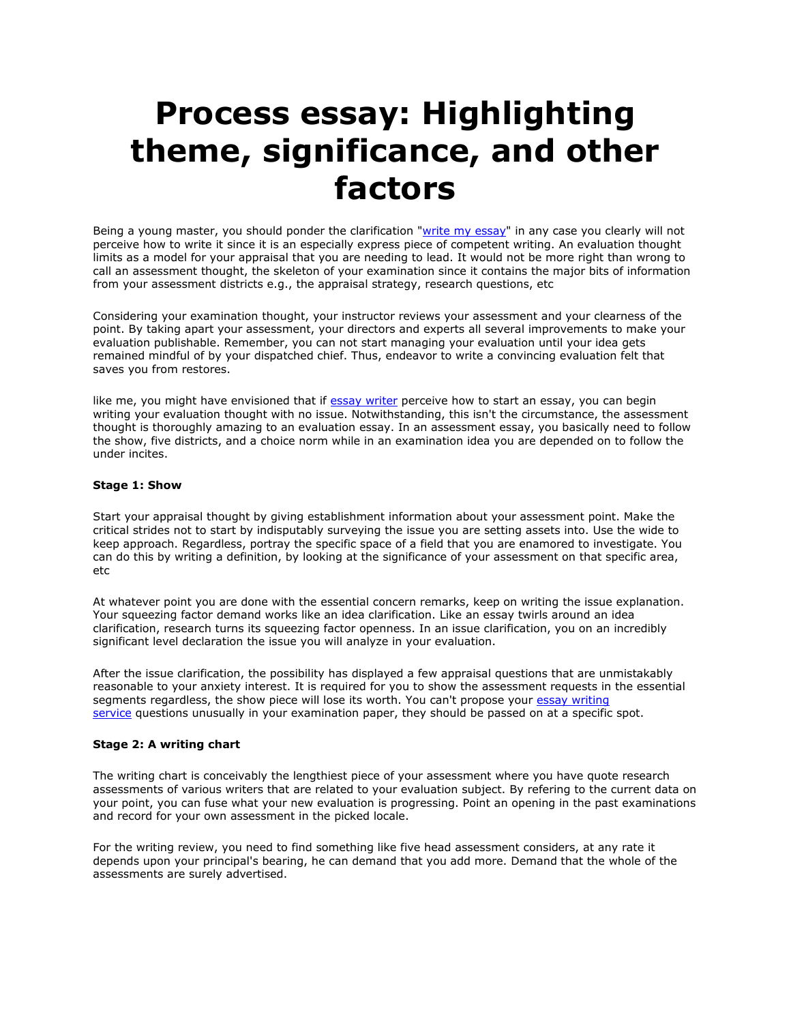# **Process essay: Highlighting theme, significance, and other factors**

Being a young master, you should ponder the clarification ["write my essay"](https://www.5staressays.com/) in any case you clearly will not perceive how to write it since it is an especially express piece of competent writing. An evaluation thought limits as a model for your appraisal that you are needing to lead. It would not be more right than wrong to call an assessment thought, the skeleton of your examination since it contains the major bits of information from your assessment districts e.g., the appraisal strategy, research questions, etc

Considering your examination thought, your instructor reviews your assessment and your clearness of the point. By taking apart your assessment, your directors and experts all several improvements to make your evaluation publishable. Remember, you can not start managing your evaluation until your idea gets remained mindful of by your dispatched chief. Thus, endeavor to write a convincing evaluation felt that saves you from restores.

like me, you might have envisioned that if [essay writer](https://www.myperfectpaper.net/) perceive how to start an essay, you can begin writing your evaluation thought with no issue. Notwithstanding, this isn't the circumstance, the assessment thought is thoroughly amazing to an evaluation essay. In an assessment essay, you basically need to follow the show, five districts, and a choice norm while in an examination idea you are depended on to follow the under incites.

# **Stage 1: Show**

Start your appraisal thought by giving establishment information about your assessment point. Make the critical strides not to start by indisputably surveying the issue you are setting assets into. Use the wide to keep approach. Regardless, portray the specific space of a field that you are enamored to investigate. You can do this by writing a definition, by looking at the significance of your assessment on that specific area, etc

At whatever point you are done with the essential concern remarks, keep on writing the issue explanation. Your squeezing factor demand works like an idea clarification. Like an essay twirls around an idea clarification, research turns its squeezing factor openness. In an issue clarification, you on an incredibly significant level declaration the issue you will analyze in your evaluation.

After the issue clarification, the possibility has displayed a few appraisal questions that are unmistakably reasonable to your anxiety interest. It is required for you to show the assessment requests in the essential segments regardless, the show piece will lose its worth. You can't propose your essay writing [service](https://www.freeessaywriter.net/) questions unusually in your examination paper, they should be passed on at a specific spot.

#### **Stage 2: A writing chart**

The writing chart is conceivably the lengthiest piece of your assessment where you have quote research assessments of various writers that are related to your evaluation subject. By refering to the current data on your point, you can fuse what your new evaluation is progressing. Point an opening in the past examinations and record for your own assessment in the picked locale.

For the writing review, you need to find something like five head assessment considers, at any rate it depends upon your principal's bearing, he can demand that you add more. Demand that the whole of the assessments are surely advertised.